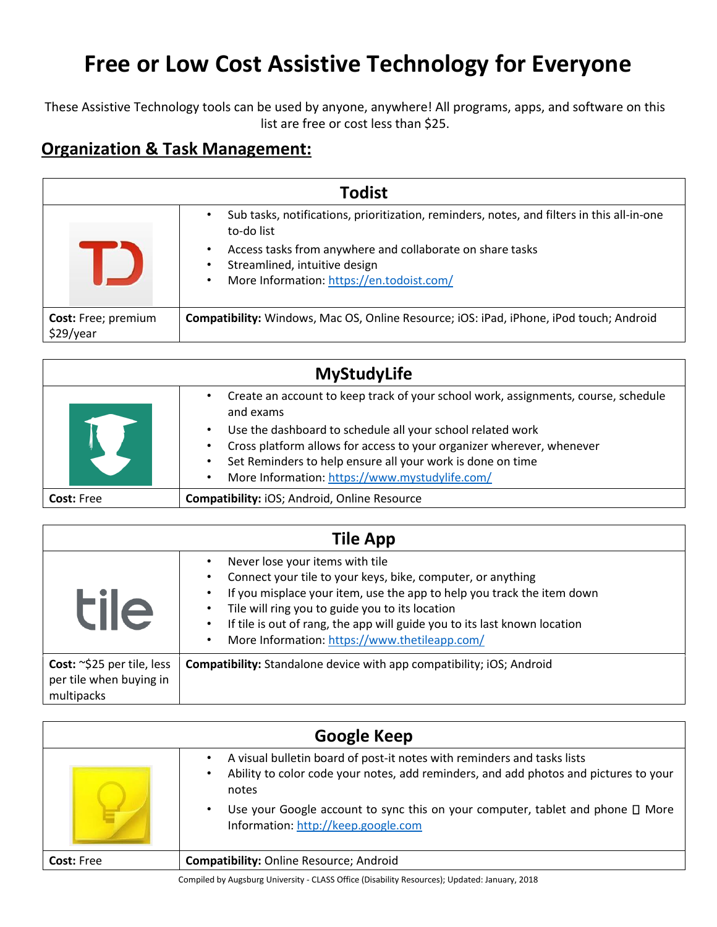These Assistive Technology tools can be used by anyone, anywhere! All programs, apps, and software on this list are free or cost less than \$25.

#### **Organization & Task Management:**

| <b>Todist</b>                           |                                                                                                                                                                                                                                                                                    |
|-----------------------------------------|------------------------------------------------------------------------------------------------------------------------------------------------------------------------------------------------------------------------------------------------------------------------------------|
|                                         | Sub tasks, notifications, prioritization, reminders, notes, and filters in this all-in-one<br>to-do list<br>Access tasks from anywhere and collaborate on share tasks<br>$\bullet$<br>Streamlined, intuitive design<br>٠<br>More Information: https://en.todoist.com/<br>$\bullet$ |
| <b>Cost:</b> Free; premium<br>\$29/year | Compatibility: Windows, Mac OS, Online Resource; iOS: iPad, iPhone, iPod touch; Android                                                                                                                                                                                            |

|                   | <b>MyStudyLife</b>                                                                                                                                    |
|-------------------|-------------------------------------------------------------------------------------------------------------------------------------------------------|
|                   | Create an account to keep track of your school work, assignments, course, schedule<br>٠<br>and exams                                                  |
|                   | Use the dashboard to schedule all your school related work<br>$\bullet$                                                                               |
|                   | Cross platform allows for access to your organizer wherever, whenever<br>$\bullet$<br>Set Reminders to help ensure all your work is done on time<br>٠ |
|                   | More Information: https://www.mystudylife.com/<br>$\bullet$                                                                                           |
| <b>Cost: Free</b> | Compatibility: iOS; Android, Online Resource                                                                                                          |

| <b>Tile App</b>                                                     |                                                                                                                                                                                                                                                                                                                                                                                                  |
|---------------------------------------------------------------------|--------------------------------------------------------------------------------------------------------------------------------------------------------------------------------------------------------------------------------------------------------------------------------------------------------------------------------------------------------------------------------------------------|
| <b>tile</b>                                                         | Never lose your items with tile<br>Connect your tile to your keys, bike, computer, or anything<br>If you misplace your item, use the app to help you track the item down<br>Tile will ring you to guide you to its location<br>$\bullet$<br>If tile is out of rang, the app will guide you to its last known location<br>$\bullet$<br>More Information: https://www.thetileapp.com/<br>$\bullet$ |
| Cost: ~\$25 per tile, less<br>per tile when buying in<br>multipacks | <b>Compatibility:</b> Standalone device with app compatibility; iOS; Android                                                                                                                                                                                                                                                                                                                     |

| A visual bulletin board of post-it notes with reminders and tasks lists<br>Ability to color code your notes, add reminders, and add photos and pictures to your<br>٠<br>notes<br>Use your Google account to sync this on your computer, tablet and phone $\square$ More<br>$\bullet$ |
|--------------------------------------------------------------------------------------------------------------------------------------------------------------------------------------------------------------------------------------------------------------------------------------|
| Information: http://keep.google.com<br><b>Compatibility: Online Resource; Android</b><br><b>Cost: Free</b>                                                                                                                                                                           |

Compiled by Augsburg University - CLASS Office (Disability Resources); Updated: January, 2018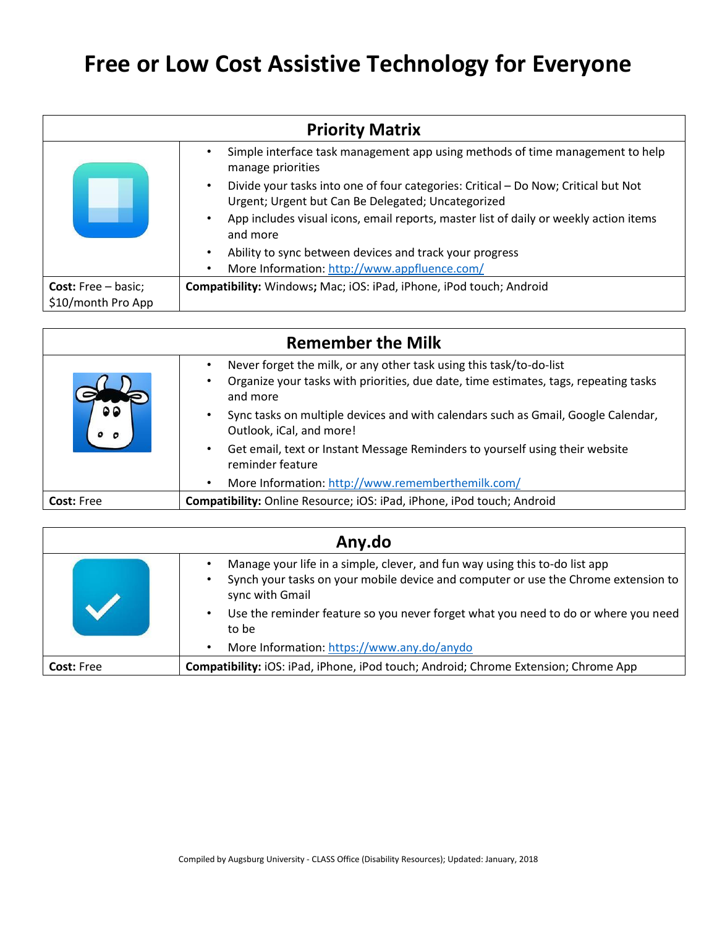| <b>Priority Matrix</b>                           |                                                                                                                                                       |
|--------------------------------------------------|-------------------------------------------------------------------------------------------------------------------------------------------------------|
|                                                  | Simple interface task management app using methods of time management to help<br>manage priorities                                                    |
|                                                  | Divide your tasks into one of four categories: Critical - Do Now; Critical but Not<br>$\bullet$<br>Urgent; Urgent but Can Be Delegated; Uncategorized |
|                                                  | App includes visual icons, email reports, master list of daily or weekly action items<br>$\bullet$<br>and more                                        |
|                                                  | Ability to sync between devices and track your progress<br>$\bullet$                                                                                  |
|                                                  | More Information: http://www.appfluence.com/<br>$\bullet$                                                                                             |
| <b>Cost:</b> Free – basic;<br>\$10/month Pro App | Compatibility: Windows; Mac; iOS: iPad, iPhone, iPod touch; Android                                                                                   |

| <b>Remember the Milk</b> |                                                                                                                                                                         |
|--------------------------|-------------------------------------------------------------------------------------------------------------------------------------------------------------------------|
|                          | Never forget the milk, or any other task using this task/to-do-list<br>Organize your tasks with priorities, due date, time estimates, tags, repeating tasks<br>and more |
|                          | Sync tasks on multiple devices and with calendars such as Gmail, Google Calendar,<br>Outlook, iCal, and more!                                                           |
|                          | Get email, text or Instant Message Reminders to yourself using their website<br>$\bullet$<br>reminder feature                                                           |
|                          | More Information: http://www.rememberthemilk.com/<br>$\bullet$                                                                                                          |
| <b>Cost: Free</b>        | Compatibility: Online Resource; iOS: iPad, iPhone, iPod touch; Android                                                                                                  |

| Any.do            |                                                                                                                                                                                      |
|-------------------|--------------------------------------------------------------------------------------------------------------------------------------------------------------------------------------|
|                   | Manage your life in a simple, clever, and fun way using this to-do list app<br>Synch your tasks on your mobile device and computer or use the Chrome extension to<br>sync with Gmail |
|                   | Use the reminder feature so you never forget what you need to do or where you need<br>to be                                                                                          |
|                   | More Information: https://www.any.do/anydo<br>$\bullet$                                                                                                                              |
| <b>Cost: Free</b> | Compatibility: iOS: iPad, iPhone, iPod touch; Android; Chrome Extension; Chrome App                                                                                                  |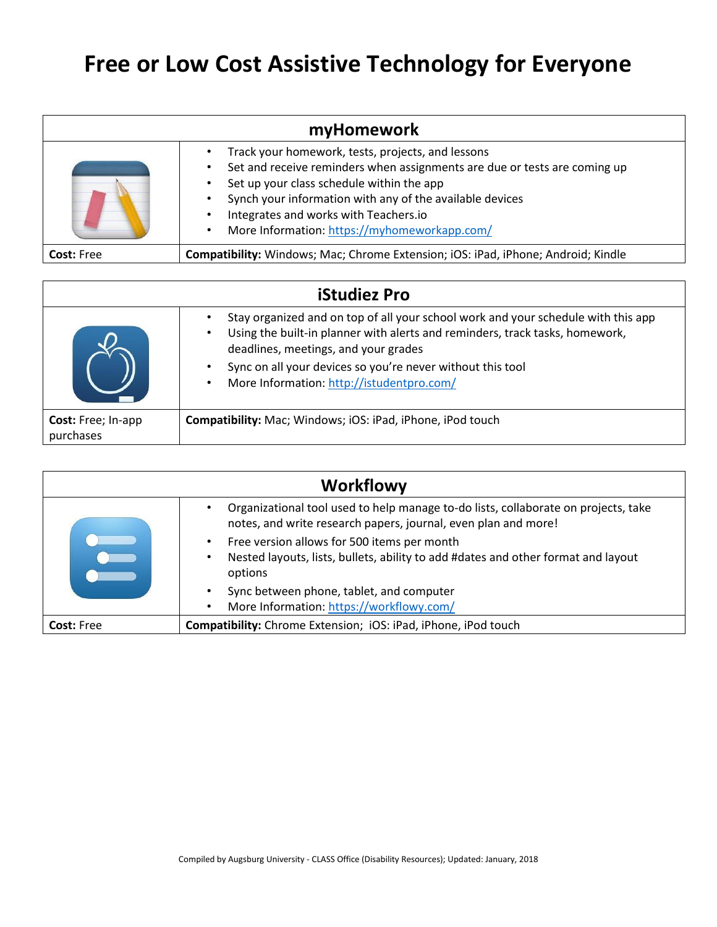| myHomework        |                                                                                                                                                                                                                                                                                                                                  |
|-------------------|----------------------------------------------------------------------------------------------------------------------------------------------------------------------------------------------------------------------------------------------------------------------------------------------------------------------------------|
|                   | Track your homework, tests, projects, and lessons<br>Set and receive reminders when assignments are due or tests are coming up<br>Set up your class schedule within the app<br>Synch your information with any of the available devices<br>Integrates and works with Teachers.io<br>More Information: https://myhomeworkapp.com/ |
| <b>Cost: Free</b> | Compatibility: Windows; Mac; Chrome Extension; iOS: iPad, iPhone; Android; Kindle                                                                                                                                                                                                                                                |

| <b>iStudiez Pro</b>                    |                                                                                                                                                                                                                                                                                                                                                |
|----------------------------------------|------------------------------------------------------------------------------------------------------------------------------------------------------------------------------------------------------------------------------------------------------------------------------------------------------------------------------------------------|
|                                        | Stay organized and on top of all your school work and your schedule with this app<br>Using the built-in planner with alerts and reminders, track tasks, homework,<br>$\bullet$<br>deadlines, meetings, and your grades<br>Sync on all your devices so you're never without this tool<br>More Information: http://istudentpro.com/<br>$\bullet$ |
| <b>Cost:</b> Free; In-app<br>purchases | Compatibility: Mac; Windows; iOS: iPad, iPhone, iPod touch                                                                                                                                                                                                                                                                                     |

| <b>Workflowy</b>  |                                                                                                                                                      |
|-------------------|------------------------------------------------------------------------------------------------------------------------------------------------------|
|                   | Organizational tool used to help manage to-do lists, collaborate on projects, take<br>notes, and write research papers, journal, even plan and more! |
|                   | Free version allows for 500 items per month                                                                                                          |
|                   | Nested layouts, lists, bullets, ability to add #dates and other format and layout<br>$\bullet$<br>options                                            |
|                   | Sync between phone, tablet, and computer                                                                                                             |
|                   | More Information: https://workflowy.com/<br>$\bullet$                                                                                                |
| <b>Cost: Free</b> | Compatibility: Chrome Extension; iOS: iPad, iPhone, iPod touch                                                                                       |